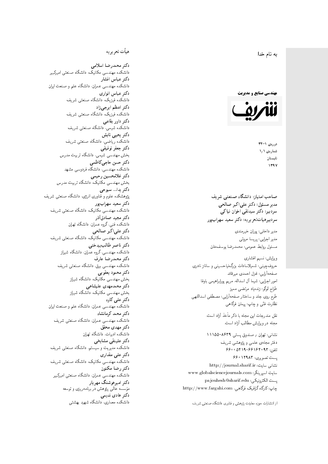$\overline{\phantom{a}}$ ز<br>ن به نام خدا .<br>.

**مهندسی صنایع و مدیریت** 



دورەي ١-٣۴ شمارەي ۱٫۱ تابستان 1397

صاحب امتیاز: دانشگاه صنعتی شریف  $\mathfrak{c}$ مدیر مسئول: دکتر علیاکبر صالحی  $\mathfrak{c}$ سردبیرهیاتتحر یر یه : دکتر سعید سهرابپور

مدير داخلى: پوران خيرمندى<br>. مدير اجرايي: پريسا مروتي<br>. مسئول روابط عمومی: محمدرضا يوسفخان<br>.

ویرایش: نسیم افشاری<br>. حروفچینی: شمیلاسادات بزرگiیاحسینی و ساناز نادری صفحهآرایی: غزل احمدی میرقائد<br>امور اجرایی: شیما آل اسداله، مریم یورابراهیمی باوفا طراح لوگو: زندهیاد مرتضمی ممیز<br>ا طرح روى جلد و ساختار صفحه[رایی: مصطفى اسداللهی<br>بنالمستقد نظارت فٽ<sub>ی</sub> و چاپ: پيمان فرگاه<sub>ی</sub><br>.

نقل مندرجات این مجله با ذکر مأخذ آزاد است.<br>محله در و راش مطالب آزاد است.

نشانی: تهران / حسندوق پستی ۸۶۳۹-۱۱۱۵۵ دفتر مجلهى علمى و پژوهشى شريف 5600 0419-991940 % 073 پست تصویری: ۱۲۹۸۳ ۶۶۰ نشانی سایت: http://journal.sharif.ir<br>ء سایت اسپرینگر: www.globalsciencejournals.com<br>افکار کافی کے مطابق کافیل کے مطابق کافیل کے مطابق کافیل کے مطابق کافیل کرنا pajouhesh@sharif.edu :يست الكترونيكي:  ${\rm http://www.fargahi.com}$  خارگاه گرافیک فرگاهی، سردبير: دكتر سيدتقى اخوان نياكى<br>سردبير ديكتر بيه : دكتر سعيد سهراب پور<br>مدير داخلى: پريسا مروتى<br>مدير اجلى : پريسا مروتى<br>مسئول روابط عمومى: محمدرضا يوسفىخان<br>حيول چينى: شيما انشارى<br>حيول چينى: شيما آل اسداله، مريم پروابراهيمى

## هيأت تحريريه

دكتر محمدرضا اسلامى مکانیک، دانشگاه صنعتی امیرکبیر<br>. دكتر عباس افشار دانشکده مهندسی عمران، دانشگاه علم و صنعت ایران<br>بحمد مصلحات دكتر عباس انوارى دانشکده فیزیک، دانشگاه صنعتبی شریف<br>محمد استانسا دکتر اعظم ايرجى زاد ، دانشگاه صنعتبی شریف<br>. دکتر داور بقاع**ی** دانشکده شیمی، دانشگاه صنعتی شریف<br>دکتر یحیی تابش دانشکده ریاضی، دانشگاه صنعتی شریف<br>برمسمنستانستان دكتر جعفر توفيقي بخش مهندسی شیمی، دانشگاه تربیت مدرس<br>سم دكتر حسن حاجىكاظمي دانشکده مهندسی، دانشگاه فردوسی مشهد<br>کستفلار م دكتر غلامحسين رحيمي هندسی مکانیک، دانشگاه تربیت مدرس<br>ا دکتر یدا... سبوحی یژوهشکده علوم و فناوری انرژی، دانشگاه صنعتی شریف دکتر سعید سهرابپور<br>دانشکده مهندسی مکانیک، دانشگاه صنعتی شریف دکتر مجيد صادقاذر ا<br>. دانشکده فنی، گروه عمران، دانشگاه تهران دکتر علیاکبر صالحی = دانشکده مهندسی مکانیک، دانشگاه صنعتی شریف<br>یکستا دکتر ناصر طالب بیدختی r  $\mathfrak{c}$ دانشکده مهندسی، گروه عمران، دانشگاه شیراز<br>مکتب مصدر مقبل علم دكتر محمدرضا عارف دانشکده مهندسی برق، دانشگاه صنعتی شریف<br><mark>دکتر محمود یعقوبی</mark> هندسی مکانیک، دانشگاه شیراز<br>مسدوده مصلوفیاه دکتر محمدمهدی علیشاهی بخش مهندسی مکانیک، دانشگاه شیراز<br>مکتبهای کابی دکتر علی کاوہ دانشکده مهندسی عمران، دانشگاه علم و صنعت ایران<br>بحت دکتر محمد کرمانشاه .<br>. دانشکده مهندسی عمران، دانشگاه صنعتی شریف<br>مکتبر دولت مستق دکتر مهد*ی* محقق دانشکده ادبیات، دانشگاه تهران دکتر علینقی مشایخ<u>ی</u> دانشکده مدیریت و سیستم، دانشگاه صنعتبی شریف<br>محمد باست دکتر علے<sub>،</sub> مقداری مکانیک، دانشگاه صنعتی شریف<br>. دكتر رضا مكنون دانشکده مهندسی عمران. دانشگاه صنعتی امیرکبیر<br>محمد است میگ دکتر امیرهوشنگ مهریار سه عالمی پژوهش در برنامهریزی و توسعه<br>۱۹ادم خار موسه<br>بر ءُ<br>ك دکتر هادی ندیمی  $\overline{a}$ م تشكل المسابق المسلم المسابق المسابق المسابق المسابق المسابق المسابق المسابق المسابق المسابق المسابق المسابق ا<br>والمسابق المسابق المسابق المسابق المسابق المسابق المسابق المسابق المسابق المسابق المسابق المسابق المسابق المس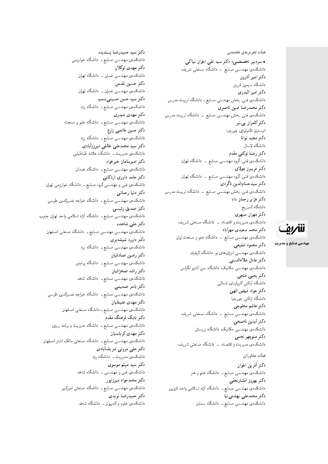هیأت تحریریهی تخصصی

• سردبیر تخصصی: دکتر سید تقی اخوان نیاکی دانشکدهی مهندسی صنایع ــ دانشگاه صنعتی شریف دكتر امير أذرون دانشگاه سیمون فریزر دكتر امير البدوي دانشکدهی فنی، بخش مهندسی صنایع ــ دانشگاه تربیت مدرس دكتر محمدرضا امين ناصري دانشکدهی فنی، بخش مهندسی صنایع ــ دانشگاه تربیت مدرس دکتر کامران پی نبر انيستيتو تكنولوژى جورجيا دكتر مجيد توانا دانشگاه لاسال دكتر رضا توكلي مقدم دانشکدهی فنبی، گروه مهندسی صنایع \_ دانشگاه تهران دكتر فريبرز جولا*ي* دانشکدهی فنبی، گروه مهندسی صنایع ــ دانشگاه تهران دكتر سيدحسامالدين ذگردي دانشکدهی فنبی، بخش مهندسی صنایع \_ دانشگاه تربیت مدرس دکتر هژبر رحمان داد دانشگاه كمبريج دكتر مهران سپهري دانشکدهی مدیریت و اقتصاد \_ دانشگاه صنعتبی شریف دكتر محمد سعيدى مهرأباد دانشکدهی مهندسی صنایع ــ دانشگاه علم و صنعت ایران دكتر محمود شفيعي دانشکدهی مهندسی انرژی های نو، دانشگاه کرنفیلد دكتر عادل علاءالديني دانشکدهی مهندسی مکانیک، دانشگاه سن آنتنیو تگزاس دكتر يحيى فتحى دانشگاه ایالتی کارولینای شمالی دكتر جواد فيض الهي دانشگاه ايالتي جورجيا دكتر هاشم محلوجي دانشکدهی مهندسی صنایع ـــ دانشگاه صنعتی شریف دكتر أيدين ناصحي دانشکدهی مهندسی مکانیک، دانشگاه بریستل دكتر منوچهر نجمي دانشکدهی مدیریت و اقتصاد \_ دانشگاه صنعتبی شریف هيأت مشاوران دكتر أفرين اخوان دانشکدهی مهندس<sub>ی</sub> صنایع ــ دانشگاه علم و هنر

دكتر بهروز افشارنجفي دانشکدهی مهندسی صنایع ــ دانشگاه آزاد اسلامی واحد قزوین دكتر محمدعلى بهشتى نيا دانشکدهی مهندسی صنایع ــ دانشگاه سمنان

دكتر سيد حميدرضا پسنديده دانشکدهی مهندسی صنایع ــ دانشگاه خوارزمی دكتر مهدى توكلان دانشکدهی مهندسی عمران ــ دانشگاه تهران دكتر حسين تقدس دانشکده، مهندسی عمران ــ دانشگاه تهران دکتر سید حسن حسینی نسب دانشکدهی مهندسی صنایع ــ دانشگاه یزد دكتر مهدى حيدري دانشکدهی مهندسی صنایع ــ دانشگاه علم و صنعت دكتر حسن خادمى زارع دانشکدهی مهندسی صنایع ــ دانشگاه یزد دکتر سید محمدعلی خالقی فیروزأبادی دانشکدهی مدیریت ــ دانشگاه علامه طباطبایی دكتر اميرسامان خيرخواه دانشکدهی مهندسی صنایع ــ دانشگاه همدان دکتر حامد داوری اردکانی دانشکده،ی فنبی و مهندسی گروه صنایع ــ دانشگاه خوارزمی تهران دكتر دنيا رحماني دانشکدهی مهندسی صنایع ــ دانشگاه خواجه نصیرالدین طوسی دكتر صديق رئيسي دانشکده ی مهندسی صنایع ــ دانشگاه آزاد اسلامی واحد تهران جنوب دکتر علے شاهنده دانشکدهی مهندسی مهندسی صنایع ــ دانشگاه صنعتی اصفهان دکتر داوود شیشه *ب*ری دانشکدهی مهندسی صنایع ــ دانشگاه یزد دكتر رامين صادقيان دانشکده،ی مهندسی صنایع ـــ دانشگاه پیامنور دكتر راشد صحرائيان دانشکدهی مهندسی صنایع ــ دانشگاه شاهد دكتر ياسر صميمى دانشکدهی مهندسی صنایع ــ دانشگاه خواجه نصیرالدین طوسی دكتر مهدى علينقيان دانشکدهی مهندسی صنایع ــ دانشگاه صنعتی اصفهان دکتر بابک فرهنگ مقدم دانشکدهی مهندسی صنایع ــ دانشگاه مدیریت و برنامه ریزی دكتر مهدي كرباسيان دانشکدهی مهندسی صنایع ــ دانشگاه صنعتی مالک اشتر اصفهان دکتر علی مروتی شریفآبادی دانشکدهی مدیریت ــ دانشگاه یزد دکتر سید میثم موسوی دانشکده،ی فنبی و مهندسی ــ دانشگاه شاهد دکتر محمدجواد میرزاپور دانشکدهی مهندسی صنایع ــ دانشگاه صنعتی امیرکبیر دكتر حميدرضا نويدي دانشکده ی علوم و کامپیوتر ـ دانشگاه شاهد

للمريق

**مهندسی صنایع و مدیریت**